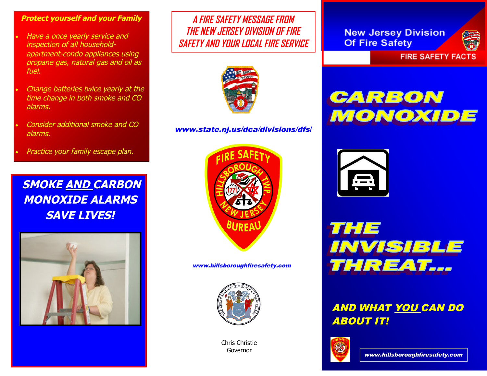#### **Protect yourself and your Family**

- Have <sup>a</sup> once yearly service and inspection of all householdapartment-condo appliances using propane gas, natural gas and oil as fuel.
- Change batteries twice yearly at the time change in both smoke and CO alarms.
- Consider additional smoke and CO alarms.
- Practice your family escape plan.

**SMOKE AND CARBON MONOXIDE ALARMS SAVE LIVES!**



**A FIRE SAFETY MESSAGE FROM THE NEW JERSEY DIVISION OF FIRE SAFETY AND YOUR LOCAL FIRE SERVICE**



www.state.nj.us/dca/divisions/dfs/



www.hillsboroughfiresafety.com



Chris Christie Governor

**New Jersey Division Of Fire Safety** 



**FIRE SAFETY FACTS** 

# CARBON MONOXIDE





### AND WHAT YOU CAN DO ABOUT IT!